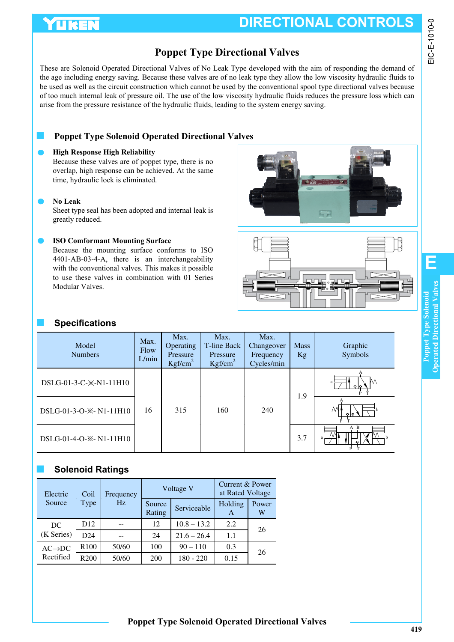# YUKEN

## **Poppet Type Directional Valves**

These are Solenoid Operated Directional Valves of No Leak Type developed with the aim of responding the demand of the age including energy saving. Because these valves are of no leak type they allow the low viscosity hydraulic fluids to be used as well as the circuit construction which cannot be used by the conventional spool type directional valves because of too much internal leak of pressure oil. The use of the low viscosity hydraulic fluids reduces the pressure loss which can arise from the pressure resistance of the hydraulic fluids, leading to the system energy saving.

## **Poppet Type Solenoid Operated Directional Valves**

### **High Response High Reliability**

Because these valves are of poppet type, there is no overlap, high response can be achieved. At the same time, hydraulic lock is eliminated.

#### **No Leak**

Sheet type seal has been adopted and internal leak is greatly reduced.

### **ISO Comformant Mounting Surface**

Because the mounting surface conforms to ISO 4401-AB-03-4-A, there is an interchangeability with the conventional valves. This makes it possible to use these valves in combination with 01 Series Modular Valves.

## ■ **Specifications**

| Model<br><b>Numbers</b>     | Max.<br>Flow<br>L/min | Max.<br>Operating<br>Pressure<br>Kgf/cm <sup>2</sup> | Max.<br>T-line Back<br>Pressure<br>Kgf/cm <sup>2</sup> | Max.<br>Changeover<br>Frequency<br>Cycles/min | <b>Mass</b><br><b>Kg</b> | Graphic<br>Symbols |
|-----------------------------|-----------------------|------------------------------------------------------|--------------------------------------------------------|-----------------------------------------------|--------------------------|--------------------|
| DSLG-01-3-C- $\&$ -N1-11H10 |                       |                                                      |                                                        |                                               | 1.9                      | M٨<br>- Plo        |
| DSLG-01-3-O-* - N1-11H10    | 16                    | 315                                                  | 160                                                    | 240                                           |                          | M'                 |
| DSLG-01-4-O-* - N1-11H10    |                       |                                                      |                                                        |                                               | 3.7                      | A B                |

## ■ **Solenoid Ratings**

| Electric            | Coil             | Voltage V<br>Frequency |                  | Current & Power<br>at Rated Voltage |              |            |
|---------------------|------------------|------------------------|------------------|-------------------------------------|--------------|------------|
| Source              | Type             | Hz                     | Source<br>Rating | Serviceable                         | Holding<br>A | Power<br>W |
| DC                  | D12              |                        | 12               | $10.8 - 13.2$                       | 2.2          | 26         |
| (K Series)          | D24              |                        | 24               | $21.6 - 26.4$                       | 1.1          |            |
| $AC \rightarrow DC$ | R <sub>100</sub> | 50/60                  | 100              | $90 - 110$                          | 0.3          | 26         |
| Rectified           | R <sub>200</sub> | 50/60                  | 200              | $180 - 220$                         | 0.15         |            |





**E**

EIC-E-1010-0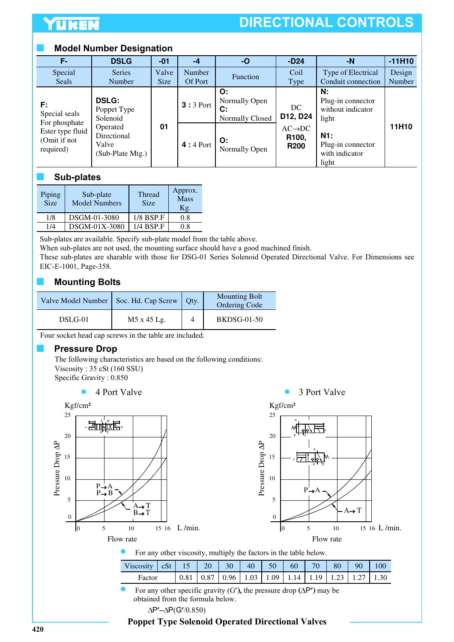# **DIRECTIONAL CONTROLS**

### **Model Number Designation**

| F-                                            | <b>DSLG</b>                                          | $-01$                | -4                | $-o$                                         | $-D24$                                                   | $-N$                                                  | $-11H10$         |
|-----------------------------------------------|------------------------------------------------------|----------------------|-------------------|----------------------------------------------|----------------------------------------------------------|-------------------------------------------------------|------------------|
| Special<br>Seals                              | <b>Series</b><br>Number                              | Valve<br><b>Size</b> | Number<br>Of Port | Function                                     | Coil<br>Type                                             | Type of Electrical<br>Conduit connection              | Design<br>Number |
| F:<br>Special seals<br>For phosphate          | <b>DSLG:</b><br>Poppet Type<br>Solenoid              |                      | $3:3$ Port        | O:<br>Normally Open<br>С:<br>Normally Closed | DC.<br>D12, D24                                          | N:<br>Plug-in connector<br>without indicator<br>light |                  |
| Ester type fluid<br>(Omit if not<br>required) | Operated<br>Directional<br>Valve<br>(Sub-Plate Mtg.) | 01                   | $4:4$ Port        | O:<br>Normally Open                          | $AC \rightarrow DC$<br>R <sub>100</sub> ,<br><b>R200</b> | N1:<br>Plug-in connector<br>with indicator<br>light   | 11H10            |

### ■ **Sub-plates**

| Piping<br><b>Size</b> | Sub-plate<br><b>Model Numbers</b> | <b>Thread</b><br><b>Size</b> | Approx.<br>Mass<br>Kg. |
|-----------------------|-----------------------------------|------------------------------|------------------------|
| 1/8                   | DSGM-01-3080                      | $1/8$ BSP.F                  | 0.8                    |
| 1/4                   | DSGM-01X-3080                     | 1/4 BSP.F                    | 0.8                    |

Sub-plates are available. Specify sub-plate model from the table above.

When sub-plates are not used, the mounting surface should have a good machined finish.

These sub-plates are sharable with those for DSG-01 Series Solenoid Operated Directional Valve. For Dimensions see EIC-E-1001, Page-358.

## **Mounting Bolts**

| Valve Model Number   Soc. Hd. Cap Screw |             | <b>Qty.</b> | <b>Mounting Bolt</b><br>Ordering Code |
|-----------------------------------------|-------------|-------------|---------------------------------------|
| DSLG-01                                 | M5 x 45 Lg. |             | <b>BKDSG-01-50</b>                    |

Four socket head cap screws in the table are included.

### **Pressure Drop**

The following characteristics are based on the following conditions: Viscosity : 35 cSt (160 SSU) Specific Gravity : 0.850

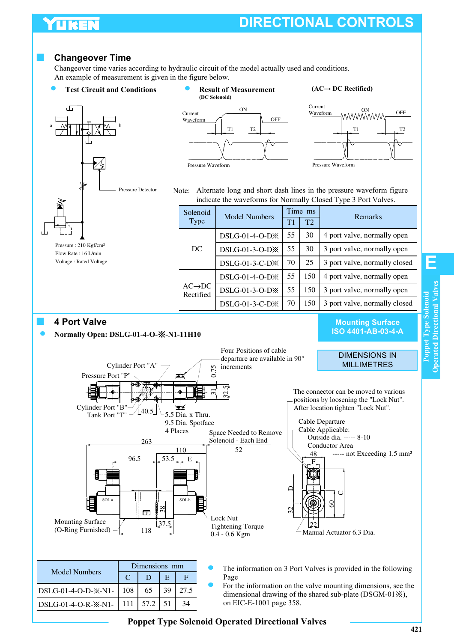# UKEI

# **DIRECTIONAL CONTROLS**

### ■ **Changeover Time**

Changeover time varies according to hydraulic circuit of the model actually used and conditions. An example of measurement is given in the figure below.

### **Test Circuit and Conditions Result of Measurement (AC→ DC Rectified)**







Note: Alternate long and short dash lines in the pressure waveform figure indicate the waveforms for Normally Closed Type 3 Port Valves.

| Solenoid                        | <b>Model Numbers</b>       |    | Time ms | <b>Remarks</b>                |
|---------------------------------|----------------------------|----|---------|-------------------------------|
| <b>Type</b>                     |                            | T1 | T2      |                               |
|                                 | DSLG-01-4-O-D※             | 55 | 30      | 4 port valve, normally open   |
| DC                              | DSLG-01-3-O-D <sup>*</sup> | 55 | 30      | 3 port valve, normally open   |
|                                 | DSLG-01-3-C-D <sup>*</sup> | 70 | 25      | 3 port valve, normally closed |
|                                 | DSLG-01-4-O-D※             | 55 | 150     | 4 port valve, normally open   |
| $AC\rightarrow DC$<br>Rectified | DSLG-01-3-O-D <sup>*</sup> | 55 | 150     | 3 port valve, normally open   |
|                                 | DSLG-01-3-C-D※             | 70 | 150     | 3 port valve, normally closed |

#### ■ **4 Port Valve**

#### **Normally Open: DSLG-01-4-O- -N1-11H10**

Pressure Port "P

Cylinder Port "B"

Cylinder Port "A"

 $C$  | D | E | F

DSLG-01-4-O-D- $\&$ -N1- | 108 | 65 | 39 | 27.5 DSLG-01-4-O-R- $\times$ -N1- 111 57.2 51 34

**Mounting Surface ISO 4401-AB-03-4-A**

#### DIMENSIONS IN **MILLIMETRES**

The connector can be moved to various positions by loosening the "Lock Nut". After location tighten "Lock Nut".



0.75

Four Positions of cable departure are available in 90°

increments

ನ⊺  $\frac{5}{2}$ 

|      | The information on 3 Port Valves is provided in the following |
|------|---------------------------------------------------------------|
| Page |                                                               |

For the information on the valve mounting dimensions, see the dimensional drawing of the shared sub-plate (DSGM-01※), on EIC-E-1001 page 358.

**E**

### **Poppet Type Solenoid Operated Directional Valves**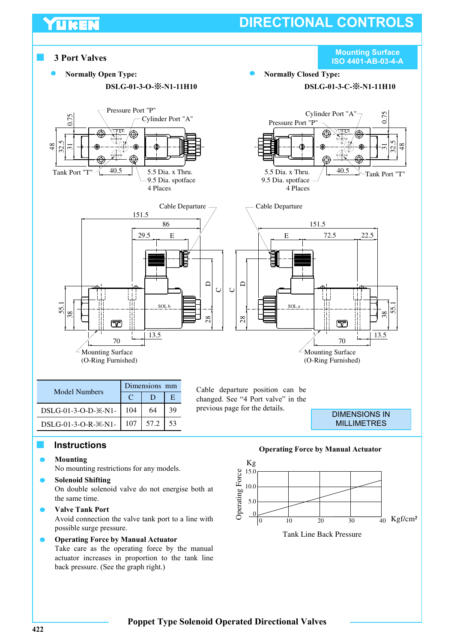# **DIRECTIONAL CONTROLS**



### ■ **Instructions**

TUREN

**Mounting**

No mounting restrictions for any models.

- **Solenoid Shifting** On double solenoid valve do not energise both at the same time.
- **Valve Tank Port**  Avoid connection the valve tank port to a line with possible surge pressure.
	- **Operating Force by Manual Actuator** Take care as the operating force by the manual actuator increases in proportion to the tank line back pressure. (See the graph right.)

**Operating Force by Manual Actuator**